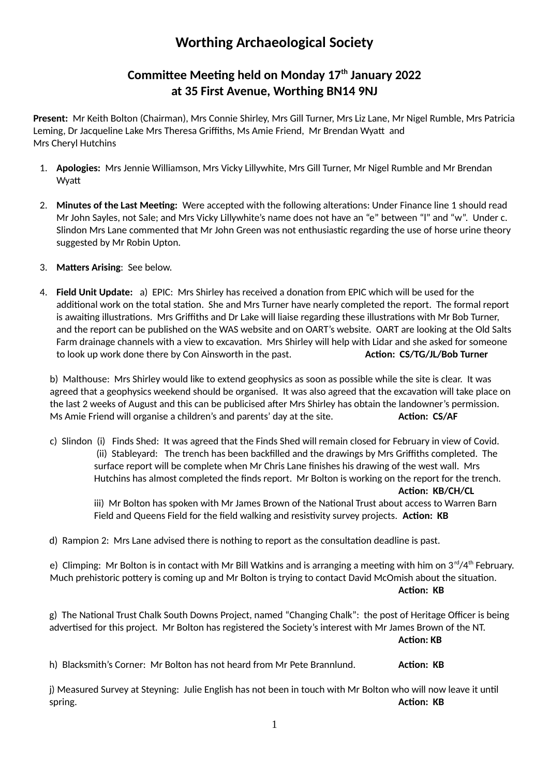## **Worthing Archaeological Society**

## **Committee Meeting held on Monday 17th January 2022 at 35 First Avenue, Worthing BN14 9NJ**

**Present:** Mr Keith Bolton (Chairman), Mrs Connie Shirley, Mrs Gill Turner, Mrs Liz Lane, Mr Nigel Rumble, Mrs Patricia Leming, Dr Jacqueline Lake Mrs Theresa Griffiths, Ms Amie Friend, Mr Brendan Wyatt and Mrs Cheryl Hutchins

- 1. **Apologies:** Mrs Jennie Williamson, Mrs Vicky Lillywhite, Mrs Gill Turner, Mr Nigel Rumble and Mr Brendan Wyatt
- 2. **Minutes of the Last Meeting:** Were accepted with the following alterations: Under Finance line 1 should read Mr John Sayles, not Sale; and Mrs Vicky Lillywhite's name does not have an "e" between "l" and "w". Under c. Slindon Mrs Lane commented that Mr John Green was not enthusiastic regarding the use of horse urine theory suggested by Mr Robin Upton.
- 3. **Matters Arising**: See below.
- 4. **Field Unit Update:** a) EPIC: Mrs Shirley has received a donation from EPIC which will be used for the additional work on the total station. She and Mrs Turner have nearly completed the report. The formal report is awaiting illustrations. Mrs Griffiths and Dr Lake will liaise regarding these illustrations with Mr Bob Turner, and the report can be published on the WAS website and on OART's website. OART are looking at the Old Salts Farm drainage channels with a view to excavation. Mrs Shirley will help with Lidar and she asked for someone to look up work done there by Con Ainsworth in the past. **Action: CS/TG/JL/Bob Turner**

b) Malthouse: Mrs Shirley would like to extend geophysics as soon as possible while the site is clear. It was agreed that a geophysics weekend should be organised. It was also agreed that the excavation will take place on the last 2 weeks of August and this can be publicised after Mrs Shirley has obtain the landowner's permission. Ms Amie Friend will organise a children's and parents' day at the site. **Action: CS/AF** 

c) Slindon (i) Finds Shed: It was agreed that the Finds Shed will remain closed for February in view of Covid. (ii) Stableyard: The trench has been backfilled and the drawings by Mrs Griffiths completed. The surface report will be complete when Mr Chris Lane finishes his drawing of the west wall. Mrs Hutchins has almost completed the finds report. Mr Bolton is working on the report for the trench. **Action: KB/CH/CL**

iii) Mr Bolton has spoken with Mr James Brown of the National Trust about access to Warren Barn Field and Queens Field for the field walking and resistivity survey projects. **Action: KB**

d) Rampion 2: Mrs Lane advised there is nothing to report as the consultation deadline is past.

e) Climping: Mr Bolton is in contact with Mr Bill Watkins and is arranging a meeting with him on  $3^{\text{rd}}/4^{\text{th}}$  February. Much prehistoric pottery is coming up and Mr Bolton is trying to contact David McOmish about the situation. **Action: KB** 

g) The National Trust Chalk South Downs Project, named "Changing Chalk": the post of Heritage Officer is being advertised for this project. Mr Bolton has registered the Society's interest with Mr James Brown of the NT. **Action: KB**

h) Blacksmith's Corner: Mr Bolton has not heard from Mr Pete Brannlund. **Action: KB**

j) Measured Survey at Steyning: Julie English has not been in touch with Mr Bolton who will now leave it until spring. **Action: KB**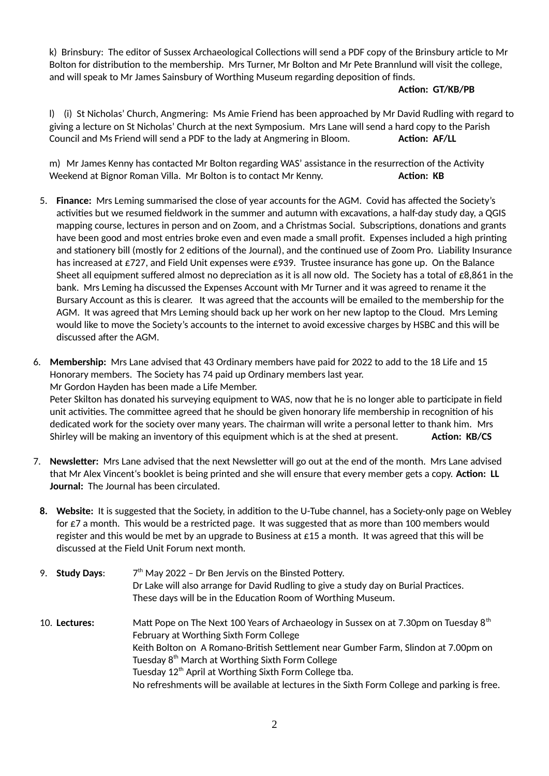k) Brinsbury: The editor of Sussex Archaeological Collections will send a PDF copy of the Brinsbury article to Mr Bolton for distribution to the membership. Mrs Turner, Mr Bolton and Mr Pete Brannlund will visit the college, and will speak to Mr James Sainsbury of Worthing Museum regarding deposition of finds.

## **Action: GT/KB/PB**

l) (i) St Nicholas' Church, Angmering: Ms Amie Friend has been approached by Mr David Rudling with regard to giving a lecture on St Nicholas' Church at the next Symposium. Mrs Lane will send a hard copy to the Parish Council and Ms Friend will send a PDF to the lady at Angmering in Bloom. **Action: AF/LL**

m) Mr James Kenny has contacted Mr Bolton regarding WAS' assistance in the resurrection of the Activity Weekend at Bignor Roman Villa. Mr Bolton is to contact Mr Kenny. **Action: KB** 

- 5. **Finance:** Mrs Leming summarised the close of year accounts for the AGM. Covid has affected the Society's activities but we resumed fieldwork in the summer and autumn with excavations, a half-day study day, a QGIS mapping course, lectures in person and on Zoom, and a Christmas Social. Subscriptions, donations and grants have been good and most entries broke even and even made a small profit. Expenses included a high printing and stationery bill (mostly for 2 editions of the Journal), and the continued use of Zoom Pro. Liability Insurance has increased at £727, and Field Unit expenses were £939. Trustee insurance has gone up. On the Balance Sheet all equipment suffered almost no depreciation as it is all now old. The Society has a total of  $\epsilon$ 8,861 in the bank. Mrs Leming ha discussed the Expenses Account with Mr Turner and it was agreed to rename it the Bursary Account as this is clearer. It was agreed that the accounts will be emailed to the membership for the AGM. It was agreed that Mrs Leming should back up her work on her new laptop to the Cloud. Mrs Leming would like to move the Society's accounts to the internet to avoid excessive charges by HSBC and this will be discussed after the AGM.
- 6. **Membership:** Mrs Lane advised that 43 Ordinary members have paid for 2022 to add to the 18 Life and 15 Honorary members. The Society has 74 paid up Ordinary members last year. Mr Gordon Hayden has been made a Life Member. Peter Skilton has donated his surveying equipment to WAS, now that he is no longer able to participate in field unit activities. The committee agreed that he should be given honorary life membership in recognition of his dedicated work for the society over many years. The chairman will write a personal letter to thank him. Mrs Shirley will be making an inventory of this equipment which is at the shed at present. **Action: KB/CS**
- 7. **Newsletter:** Mrs Lane advised that the next Newsletter will go out at the end of the month. Mrs Lane advised that Mr Alex Vincent's booklet is being printed and she will ensure that every member gets a copy. **Action: LL Journal:** The Journal has been circulated.
	- **8. Website:** It is suggested that the Society, in addition to the U-Tube channel, has a Society-only page on Webley for £7 a month. This would be a restricted page. It was suggested that as more than 100 members would register and this would be met by an upgrade to Business at  $£15$  a month. It was agreed that this will be discussed at the Field Unit Forum next month.
	- 9. **Study Days**: 7  $7<sup>th</sup>$  May 2022 – Dr Ben Jervis on the Binsted Pottery. Dr Lake will also arrange for David Rudling to give a study day on Burial Practices. These days will be in the Education Room of Worthing Museum.
	- 10. **Lectures:** Matt Pope on The Next 100 Years of Archaeology in Sussex on at 7.30pm on Tuesday 8th February at Worthing Sixth Form College Keith Bolton on A Romano-British Settlement near Gumber Farm, Slindon at 7.00pm on Tuesday  $8<sup>th</sup>$  March at Worthing Sixth Form College Tuesday  $12<sup>th</sup>$  April at Worthing Sixth Form College tba. No refreshments will be available at lectures in the Sixth Form College and parking is free.